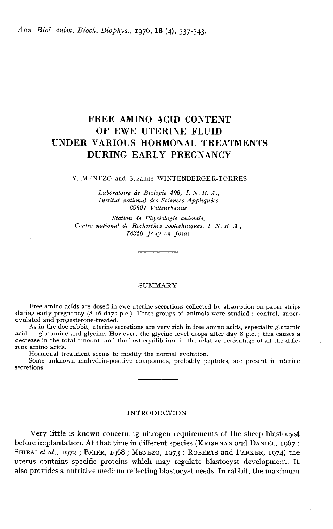# FREE AMINO ACID CONTENT OF EWE UTERINE FLUID UNDER VARIOUS HORMONAL TREATMENTS DURING EARLY PREGNANCY

#### Y. MENEZO and Suzanne WINTENBERGER-TORRES

Laboratoire de Biologie 406, 1. N. R. A., Institut national des Sciences Appliquées 69621 Villeurbanne

Station de Physiologie animale, Centre national de Recherches zootechniques, I. N. R. A., i'8350 Jouy en Josas

#### SUMMARY

Free amino acids are dosed in ewe uterine secretions collected by absorption on paper strips during early pregnancy (8-16 days p.c.). Three groups of animals were studied : control, super-<br>ovulated and progesterone-treated

As in the doe rabbit, uterine secretions are very rich in free amino acids, especially glutamic acid  $+$  glutamine and glycine. However, the glycine level drops after day 8 p.c.; this causes a decrease in the total amount, and the best equilibrium in the relative percentage of all the different amino acids.

Hormonal treatment seems to modify the normal evolution.

Some unknown ninhydrin-positive compounds, probably peptides, are present in uterine secretions.

#### INTRODUCTION

Very little is known concerning nitrogen requirements of the sheep blastocyst –<br>Very<br>before im<br>Sникат *et*<br>uterus со Very little is known concerning nitrogen requirements of the sheep blastocyst<br>before implantation. At that time in different species (KRISHNAN and DANIEL, 1967 ;<br>SHIRAL et al., 1972 ; BEIER, 1968 ; MENEZO, 1973 ; ROBERTS a HIRODUCTION<br>
Very little is known concerning nitrogen requirements of the sheep blastocyst<br>
before implantation. At that time in different species (KRISHNAN and DANIEL, 1967;<br>
SHIRAI *et al.*, 1972; BEIER, 1968; MENEZO, 19 uterus contains specific proteins which may regulate blastocyst development. It also provides a nutritive medium reflecting blastocyst needs. In rabbit, the maximum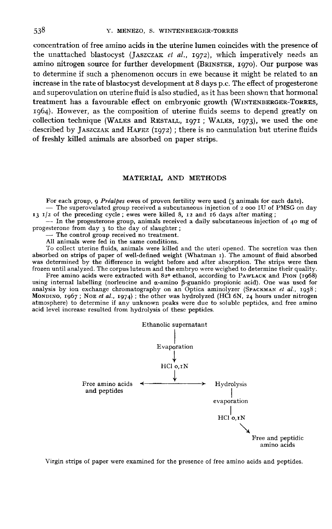concentration of free amino acids in the uterine lumen coincides with the presence of the unattached blastocyst (JASZCZAK et al., 1972), which imperatively needs an 538 T. MENEZO, S. WINTENBERGER-TORRES<br>concentration of free amino acids in the uterine lumen coincides with the presence of<br>the unattached blastocyst (JASZCZAK *et al.*, 1972), which imperatively needs an<br>amino nitrogen s to determine if such a phenomenon occurs in ewe because it might be related to an increase in the rate of blastocyst development at 8 days p.c. The effect of progesterone and superovulation on uterine fluid is also studied, as it has been shown that hormonal treatment has a favourable effect on embryonic treatment nas a ravourable effect on embryonic growth (WINTENBERGER-TORRES,<br>1964). However, as the composition of uterine fluids seems to depend greatly on Es<br>
eddes with the presence of<br>
th imperatively needs an<br>
i, 1970). Our purpose was<br>
it might be related to an<br>
The effect of progesterone<br>
been shown that hormonal<br>
(WINTENBERGER-TORRES,<br>
ms to depend greatly on<br>
i, 1973) increase in the rate or blastocyst development at 8 days p.c. The effect or progesterone<br>and superovulation on uterine fluid is also studied, as it has been shown that hormonal<br>treatment has a favourable effect on embryoni and superovulation on uterine fluid is also studied, as it has been shown that hormonal<br>treatment has a favourable effect on embryonic growth (WINTENBERGER-TORRES,<br>1964). However, as the composition of uterine fluids seems of freshly killed animals are absorbed on paper strips.

#### MATERIAL AND METHODS

For each group, 9 Préalpes ewes of proven fertility were used (3 animals for each date). - The superovulated group received a subcutaneous injection of 2 000 IU of PMSG on day 13 1/2 of the preceding cycle; ewes were kill

 $-$  In the progesterone group, animals received a daily subcutaneous injection of 40 mg of progesterone from day 3 to the day of slaughter;<br>- The control group received no treatment.

All animals were fed in the same conditions.

To collect uterine fluids, animals were killed and the uteri opened. The secretion was then absorbed on strips of paper of well-defined weight (Whatman r). The amount of fluid absorbed was determined by the difference in weight before and after absorption. The strips were then<br>frozen until analyzed. The corpus luteum and the embryo were weighed to determine their quality. All animals were ted in the same conditions.<br>To collect uterine fluids, animals were killed and the uteri opened. The secretion was then<br>absorbed on strips of paper of well-defined weight (Whatman 1). The amount of fluid

was deter<br>frozen unt<br>Free<br>using inte<br>analysis t<br>MonDINO,<br>atmospher amino acids were extracted with 82º ethanol, according to PAWLACK and PION (1968)<br>ernal labelling (norleucine and  $\alpha$ -amino  $\beta$ -guanido propionic acid). One was used for<br>by ion exchange chromatography on an Optica amino was determined by the difference in weight before and after absorption. The strips were then<br>frozen until analyzed. The corpus luteum and the embryo were weighed to determine their quality.<br>Free amino acids were extracted atmosphere) to determine if any unknown peaks were due to soluble peptides, and free amino acid level increase resulted from hydrolysis of these peptides.



Virgin strips of paper were examined for the presence of free amino acids and peptides.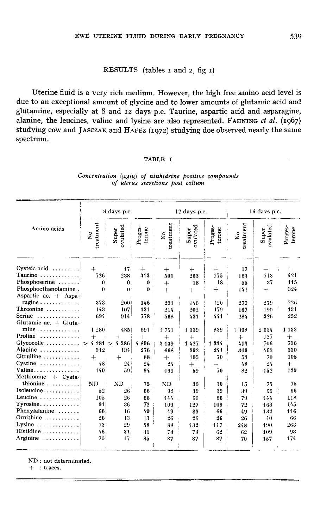## RESULTS (tables I and 2, fig I)

Uterine fluid is a very rich medium. However, the high free amino acid level is due to an exceptional amount of glycine and to lower amounts of glutamic acid and glutamine, especially at 8 and 12 days p.c. Taurine, aspartic acid and asparagine, Define fluid is a very rich medium. However, the high free amino acid level is<br>due to an exceptional amount of glycine and to lower amounts of glutamic acid and<br>glutamine, especially at 8 and 12 days p.c. Taurine, asparti due to an exceptional amount of glycine and to lower amounts of glutamic acid and glutamine, especially at 8 and 12 days p.c. Taurine, aspartic acid and asparagine, alanine, the leucines, valine and lysine are also represe spectrum.

#### TABLE I

|                                    | 8 days p.c.                       |                            |                   | 12 days p.c.                      |                   |                   | 16 days p.c.              |                   |                   |
|------------------------------------|-----------------------------------|----------------------------|-------------------|-----------------------------------|-------------------|-------------------|---------------------------|-------------------|-------------------|
| Amino acids                        | treatment<br>$\tilde{\mathbf{z}}$ | ovulated<br>Super          | Proges-<br>terone | treatment<br>$\tilde{\mathbf{X}}$ | ovulated<br>Super | Proges-<br>terone | treatment<br>$\mathbf{k}$ | ovulated<br>Super | Proges-<br>terone |
| Cysteic acid                       | $+$                               | 17                         | $+$               | $+$                               | $+$               | $+$               | 17                        | $\downarrow$      | $^{+}$            |
| Taurine                            | 726                               | $238^{\circ}$              | 313               | 501                               | 263               | 175               | 163                       | 713               | 421               |
| Phosphoserine                      | $\bf{0}$                          | $\mathbf{0}$               | $\theta$          | $+$                               | 18                | 18                | 55                        | 37                | 115               |
| Phosphoethanolamine,               | 0 <sup>1</sup>                    | $\mathbf{0}^{\frac{1}{2}}$ | $\theta$          | $+$                               | $+$               | $+$               | 141                       | ÷                 | 324               |
| Aspartic ac. + Aspa-               |                                   |                            |                   |                                   |                   |                   |                           |                   |                   |
| ragine                             | 373                               | 200!                       | 146               | 293                               | 146               | 120               | 279                       | 279               | 226               |
| Threonine                          | $143^{\circ}$                     | 107                        | 131               | 214                               | 202               | 179               | 167                       | 190               | 131               |
| Serine                             | 694                               | 914'                       | 778               | 568                               | 431               | 441               | 284                       | 326               | 252               |
| Glutamic ac. $+$ Gluta-            |                                   |                            |                   |                                   |                   |                   |                           |                   |                   |
| $mine \ldots \ldots \ldots \ldots$ | 1 280                             | 485                        | 691               | 1751                              | 1339              | 839               | 1.398                     | 2 634             | 1 1 3 3           |
| Proline<br>.                       | $+$                               |                            | $+$               | $+$                               | $^{+}$            | $+$               | $+$                       | 127               | $+$               |
| Glycocolle                         | $4.281$ $>$                       | 4386                       | 4896              | 3 1 3 9                           | 1427              | 1314              | 413                       | 706               | 736               |
| Alanine                            | 312                               | 134                        | 276               | 668                               | 392               | 241               | 303                       | 463               | 330               |
| $Citrulline$                       | $\div$                            | $\div$                     | 88                | $+$                               | 105               | 70                | 53                        | 70                | 105               |
| Cystine                            | $48^{\circ}$                      | 24                         | 24                | 24                                | $+$               | $+$               | 48                        | 24                | $^{+}$            |
| Valine                             | 140 <sup>1</sup>                  | 59 <sup>1</sup>            | 94                | 199                               | 59                | 70                | 82                        | 152               | 129               |
| Methionine<br>$+$ Cysta-           |                                   |                            |                   |                                   |                   |                   |                           |                   |                   |
| thionine $\ldots \ldots \ldots$    | ND                                | <b>ND</b>                  | 75                | <b>ND</b>                         | 30                | 30                | 15                        | 75                | 75                |
| Isoleucine                         | 52                                | 26                         | 66                | 92                                | 39                | 39                | 39                        | 66                | 66                |
| Leucine                            | 105                               | 26                         | 66                | 144                               | 66                | 66                | 79                        | 144               | 118               |
| $Ty$ rosine                        | 91                                | 36                         | 72                | 109                               | 127               | 109               | 7:2                       | 163               | 145               |
| Phenylalanine                      | 66                                | 16                         | 49                | 49                                | 83                | 66                | 49                        | 132               | 116               |
| Ornithine                          | $26^{\circ}$                      | 13                         | 13                | 26                                | 26                | 26                | 26                        | 40                | 66                |
| $Lysine$                           | 73:                               | 29                         | 58                |                                   |                   | 117               |                           |                   | 263               |
| Histidine                          | 46.                               |                            |                   | 88                                | 132               |                   | 248                       | 190               |                   |
| Arginine                           | ا 70                              | 31.<br>17                  | 31                | 78                                | 78                | 62                | 62                        | 109               | 93                |
| .                                  |                                   |                            | 35                | 87                                | 87                | 87                | 70                        | 157               | 174               |

#### Concentration (ug/g) of ninhidrine positive compounds of uterus secretions post coitum

ND : not determinated.

 $+$  : traces.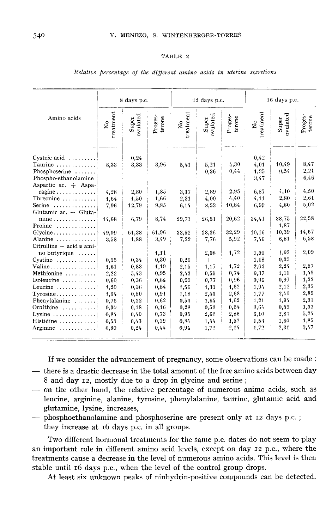#### TABLE 2

|                                                                                                         | 8 days p.c.                          |                       |                      | $12$ days p.c.                    |                      |                       | 16 days p.c.                 |                      |                      |
|---------------------------------------------------------------------------------------------------------|--------------------------------------|-----------------------|----------------------|-----------------------------------|----------------------|-----------------------|------------------------------|----------------------|----------------------|
| Amino acids                                                                                             | treatment<br>$\overline{\mathbf{X}}$ | ovulated<br>Super     | Proges-<br>terone    | treatment<br>$\tilde{\mathbf{z}}$ | ovulated<br>Super    | Proges-<br>terone     | treatment<br>$\frac{1}{2}$   | ovulated<br>Super    | Proges-<br>terone    |
| $Cysteic acid$<br>Taurine<br>Phosphoserine<br>Phospho-ethanolamine                                      | 8,33                                 | 0,24<br>3,33          | 3,96                 | 5,41                              | 5,21<br>0,36         | 4,30<br>0,44          | 0,42<br>4,01<br>1,35<br>3,47 | 10,49<br>0,54        | 8,47<br>2,21<br>6,46 |
| Aspartic ac. + Aspa-<br>ragine<br>Threonine $\ldots \ldots \ldots$<br>Serine<br>Glutamic ac. $+$ Gluta- | 4,28<br>1,64<br>7,96                 | 2,80<br>1,50<br>12,79 | 1,85<br>1,66<br>9,85 | 3,17<br>2,31<br>6,14              | 2,89<br>4,00<br>8,53 | 2,95<br>4,40<br>10,84 | 6,87<br>4,11<br>6,99         | 4,10<br>2,80<br>4,80 | 4,50<br>2,61<br>5,02 |
| $mine \ldots \ldots \ldots \ldots$<br>Proline                                                           | 14.68                                | 6,79                  | 8,74                 | 29,73                             | 26,51                | 20,62                 | 34,41                        | 38,75<br>1,87        | 22,58                |
| Glycine<br>Alanine<br>Citrulline + acid $\alpha$ ami-                                                   | 49.09<br>3.58                        | 61,38<br>1,88         | 61,96<br>3,49        | 33,92<br>7,22                     | 28,26<br>7,76        | 32,29<br>5,92         | 10,16<br>7,46                | 10,39<br>6,81        | 14,67<br>6,58        |
| no butyrique<br>$Cystine$                                                                               | 0.55                                 | 0,34                  | 1,11<br>0,30         | 0,26                              | 2,08<br>$+$          | 1,72                  | 1,30<br>1,18                 | 1,03<br>0,35         | 2,09                 |
| Valine<br>Methionine                                                                                    | 1,61<br>2,22                         | 0,83<br>5.43          | 1,19<br>0,95         | 2,15<br>2,42                      | 1,17<br>0,59         | 1,72<br>0,74          | 2,02<br>0,37                 | 2,24<br>1,10         | 2,57<br>1,49         |
| Isoleucine<br>Leucine                                                                                   | 0,60<br>1,20                         | 0,36<br>0.36          | 0,84<br>0,84         | 0,99<br>1,56                      | 0,77<br>1,31         | 0,96<br>1,62<br>2,68  | 0,96<br>1,94<br>1,77         | 0,97<br>2,12<br>2,40 | 1,32<br>2,35<br>2,89 |
| Tyrosine<br>Phenylalanine<br>Ornithine                                                                  | 1,04<br>0,76<br>0,30                 | 0,50<br>0,22<br>0,18  | 0,91<br>0,62<br>0,16 | 1,18<br>0,53<br>0,28              | 2,51<br>1,64<br>0,51 | 1,62<br>0,64          | 1,21<br>0,64                 | 1,94<br>0.59         | 2,31<br>1,32         |
| Lysine<br>Histidine                                                                                     | 0,84<br>0,53                         | 0,40<br>0,43          | 0,73<br>0,39         | 0,95<br>0,84                      | 2,61<br>1,54         | 2,88<br>1,52          | 6,10<br>1,53                 | 2,80<br>1,60         | 5,24<br>1,85         |
| Arginine                                                                                                | 0,80                                 | 0,24                  | 0,44                 | 0,94                              | 1,72                 | 2,14                  | 1,72                         | 2,31                 | 3,47                 |

Relative percentage of the different amino acids in uterine secretions

If we consider the advancement of pregnancy, some observations can be made :

- there is a drastic decrease in the total amount of the free amino acids between day  $8$  and day  $12$ , mostly due to a drop in glycine and serine;
- on the other hand, the relative percentage of numerous animo acids, such as leucine, arginine, alanine, tyrosine, phenylalanine, taurine, glutamic acid and
- phosphoethanolamine and phosphoserine are present only at 12 days p.c. ; they increase at 16 days p.c. in all groups.

Two different hormonal treatments for the same p.c. dates do not seem to play an important role in different amino acid levels, except on day 12 p.c., where the treatments cause a decrease in the level of numerous amino acids. This level is then stable until 16 days p.c., when the level of the control group drops.

At least six unknown peaks of ninhydrin-positive compounds can be detected.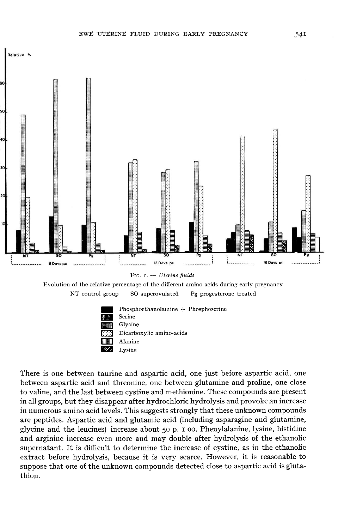





There is one between taurine and aspartic acid, one just before aspartic acid, one between aspartic acid and threonine, one between glutamine and proline, one close to valine, and the last between cystine and methionine. These compounds are present in all groups, but they disappear after hydrochloric hydrolysis and provoke an increase in numerous amino acid levels. This suggests strongly that these unknown compounds are peptides. Aspartic acid and glutamic acid (including asparagine and glutamine, glycine and the leucines) increase about 50 p. n oo. Phenylalanine, lysine, histidine and arginine increase even more and may double after hydrolysis of the ethanolic supernatant. It is difficult to determine the increase of cystine, as in the ethanolic extract before hydrolysis, because it is very scarce. However, it is reasonable to suppose that one of the unknown compounds detected close to aspartic acid is glutathion.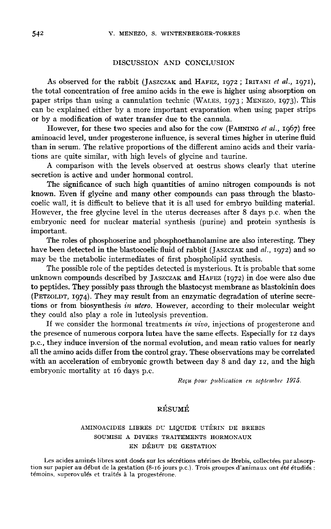## DISCUSSION AND CONCLUSION

DISCUSSION AND CONCLUSION<br>
As observed for the rabbit (JASZCZAK and HAFEZ, 1972 ; IRITANI *et al.*, 1971),<br>
the total concentration of free amino acids in the ewe is higher using absorption on As observed for the rabbit (JASZCZAK and HAFEZ, 1972 ; IRITANI *et al.*, 1971),<br>the total concentration of free amino acids in the ewe is higher using absorption on<br>paper strips than using a cannulation technic (WALES, 197 can be explained either by a more important evaporation when using paper strips or by a modification of water transfer due to the cannula.

However, for these two species and also for the cow (FAHNING et al., 1967) free aminoacid level, under progesterone influence, is several times higher in uterine fluid than in serum. The relative proportions of the different amino acids and their variations are quite similar, with high levels of glycine and taurine.

A comparison with the levels observed at oestrus shows clearly that uterine secretion is active and under hormonal control.

The significance of such high quantities of amino nitrogen compounds is not known. Even if glycine and many other compounds can pass through the blastocoelic wall, it is difficult to believe that it is all used for embryo building material. However, the free glycine level in the uterus decreases after 8 days p.c. when the embryonic need for nuclear material synthesis (purine) and protein synthesis is important.

The roles of phosphoserine and phosphoethanolamine are also interesting. They The roles of phosphoserine and phosphoethanolamine are also interesting. They<br>have been detected in the blastocoelic fluid of rabbit (JASZCZAK and al., 1972) and so<br>may be the metabolic intermediates of first phospholinid may be the metabolic intermediates of first phospholipid synthesis.

The possible role of the peptides detected is mysterious. It is probable that some unknown compounds described by IASZCZAK and HAFEZ (1972) in doe were also due The roles of phosphoserine and phosphoethanolamine are also interesting. They<br>have been detected in the blastocoelic fluid of rabbit (JASZCZAK and al., 1972) and so<br>may be the metabolic intermediates of first phospholipid to peptides. They possibly pass through the blastocyst membrane as blastokinin does unknown compounds described by JASZCZAK and HAFEZ (1972) in doe were also due<br>to peptides. They possibly pass through the blastocyst membrane as blastokinin does<br>(PETZOLDT, 1974). They may result from an enzymatic degradat tions or from biosynthesis in utero. However, according to their molecular weight they could also play a role in luteolysis prevention.

If we consider the hormonal treatments in vivo, injections of progesterone and the presence of numerous corpora lutea have the same effects. Especially for 12 days p.c., they induce inversion of the normal evolution, and mean ratio values for nearly all the amino acids differ from the control gray. These observations may be correlated with an acceleration of embryonic growth between day 8 and day 12, and the high embryonic mortality at 16 days p.c.

Reçu pour publication en septembre 1975.

# RÉSUMÉ

## AMINOACIDES LIBRES DU LIQUIDE UTÉRIN DE BREBIS SOUMISE A DIVERS TRAITEMENTS HORMONAUX EN DÉBUT DE GESTATION

Les acides aminés libres sont dosés sur les sécrétions utérines de Brebis, collectées par absorp- tion sur papier au début de la gestation (8-i6 jours p.c.). Trois groupes d'animaux ont été étudiés : témoins, superovulés et traités à la progestérone.